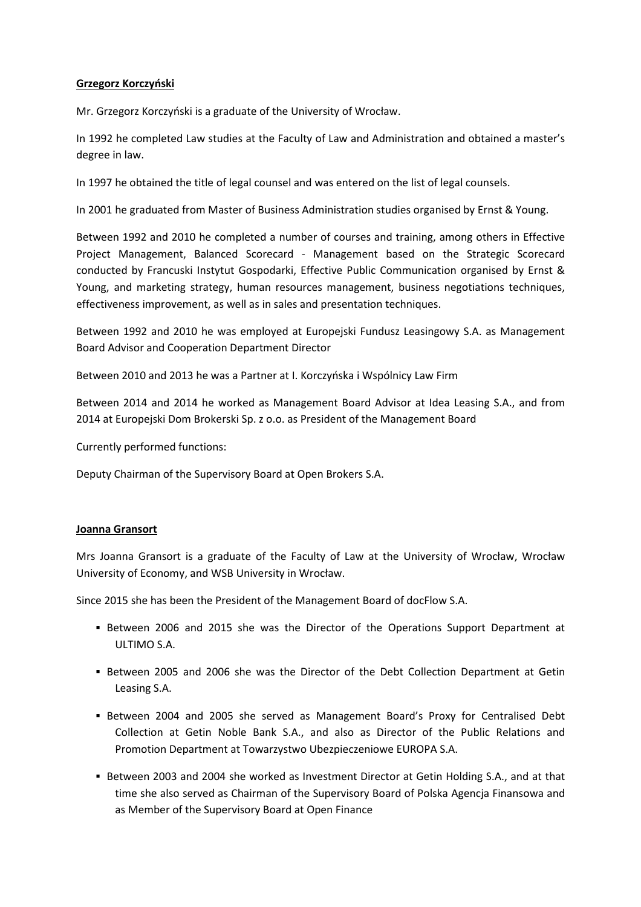## Grzegorz Korczyński

Mr. Grzegorz Korczyński is a graduate of the University of Wrocław.

In 1992 he completed Law studies at the Faculty of Law and Administration and obtained a master's degree in law.

In 1997 he obtained the title of legal counsel and was entered on the list of legal counsels.

In 2001 he graduated from Master of Business Administration studies organised by Ernst & Young.

Between 1992 and 2010 he completed a number of courses and training, among others in Effective Project Management, Balanced Scorecard - Management based on the Strategic Scorecard conducted by Francuski Instytut Gospodarki, Effective Public Communication organised by Ernst & Young, and marketing strategy, human resources management, business negotiations techniques, effectiveness improvement, as well as in sales and presentation techniques.

Between 1992 and 2010 he was employed at Europejski Fundusz Leasingowy S.A. as Management Board Advisor and Cooperation Department Director

Between 2010 and 2013 he was a Partner at I. Korczyńska i Wspólnicy Law Firm

Between 2014 and 2014 he worked as Management Board Advisor at Idea Leasing S.A., and from 2014 at Europejski Dom Brokerski Sp. z o.o. as President of the Management Board

Currently performed functions:

Deputy Chairman of the Supervisory Board at Open Brokers S.A.

## Joanna Gransort

Mrs Joanna Gransort is a graduate of the Faculty of Law at the University of Wrocław, Wrocław University of Economy, and WSB University in Wrocław.

Since 2015 she has been the President of the Management Board of docFlow S.A.

- Between 2006 and 2015 she was the Director of the Operations Support Department at ULTIMO S.A.
- Between 2005 and 2006 she was the Director of the Debt Collection Department at Getin Leasing S.A.
- Between 2004 and 2005 she served as Management Board's Proxy for Centralised Debt Collection at Getin Noble Bank S.A., and also as Director of the Public Relations and Promotion Department at Towarzystwo Ubezpieczeniowe EUROPA S.A.
- Between 2003 and 2004 she worked as Investment Director at Getin Holding S.A., and at that time she also served as Chairman of the Supervisory Board of Polska Agencja Finansowa and as Member of the Supervisory Board at Open Finance